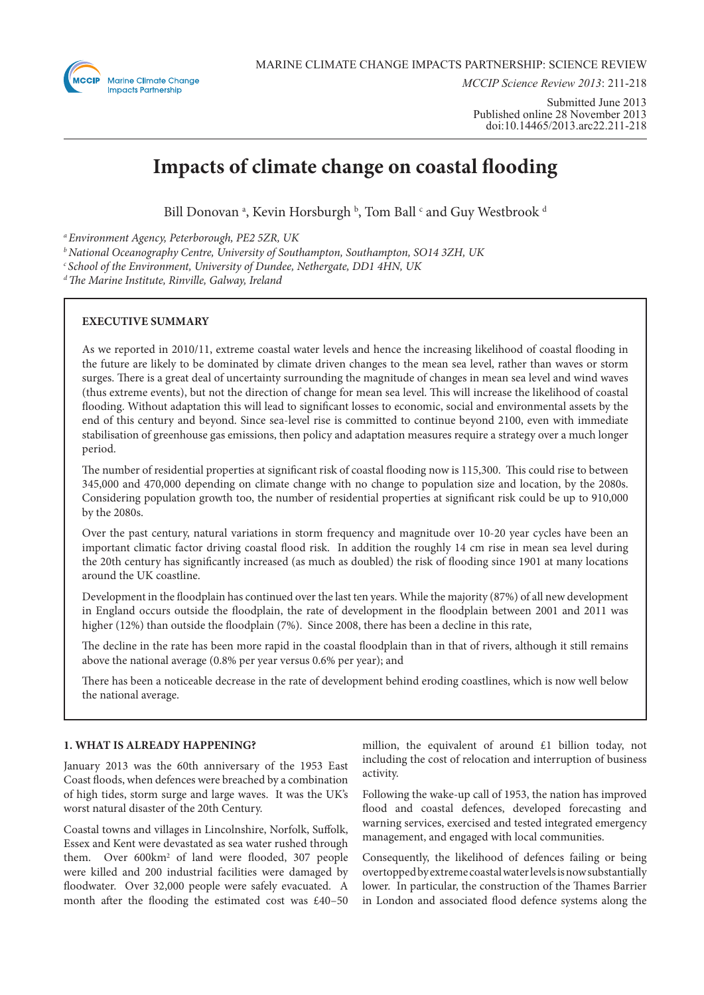

*MCCIP Science Review 2013*: 211-218

Submitted June 2013 Published online 28 November 2013 doi:10.14465/2013.arc22.211-218

# **Impacts of climate change on coastal flooding**

Bill Donovan ª, Kevin Horsburgh ʰ, Tom Ball ʿ and Guy Westbrook d

*a Environment Agency, Peterborough, PE2 5ZR, UK*

*b National Oceanography Centre, University of Southampton, Southampton, SO14 3ZH, UK*

*c School of the Environment, University of Dundee, Nethergate, DD1 4HN, UK*

*d The Marine Institute, Rinville, Galway, Ireland*

## **EXECUTIVE SUMMARY**

As we reported in 2010/11, extreme coastal water levels and hence the increasing likelihood of coastal flooding in the future are likely to be dominated by climate driven changes to the mean sea level, rather than waves or storm surges. There is a great deal of uncertainty surrounding the magnitude of changes in mean sea level and wind waves (thus extreme events), but not the direction of change for mean sea level. This will increase the likelihood of coastal flooding. Without adaptation this will lead to significant losses to economic, social and environmental assets by the end of this century and beyond. Since sea-level rise is committed to continue beyond 2100, even with immediate stabilisation of greenhouse gas emissions, then policy and adaptation measures require a strategy over a much longer period.

The number of residential properties at significant risk of coastal flooding now is 115,300. This could rise to between 345,000 and 470,000 depending on climate change with no change to population size and location, by the 2080s. Considering population growth too, the number of residential properties at significant risk could be up to 910,000 by the 2080s.

Over the past century, natural variations in storm frequency and magnitude over 10-20 year cycles have been an important climatic factor driving coastal flood risk. In addition the roughly 14 cm rise in mean sea level during the 20th century has significantly increased (as much as doubled) the risk of flooding since 1901 at many locations around the UK coastline.

Development in the floodplain has continued over the last ten years. While the majority (87%) of all new development in England occurs outside the floodplain, the rate of development in the floodplain between 2001 and 2011 was higher (12%) than outside the floodplain (7%). Since 2008, there has been a decline in this rate,

The decline in the rate has been more rapid in the coastal floodplain than in that of rivers, although it still remains above the national average (0.8% per year versus 0.6% per year); and

There has been a noticeable decrease in the rate of development behind eroding coastlines, which is now well below the national average.

## **1. WHAT IS ALREADY HAPPENING?**

January 2013 was the 60th anniversary of the 1953 East Coast floods, when defences were breached by a combination of high tides, storm surge and large waves. It was the UK's worst natural disaster of the 20th Century.

Coastal towns and villages in Lincolnshire, Norfolk, Suffolk, Essex and Kent were devastated as sea water rushed through them. Over 600km<sup>2</sup> of land were flooded, 307 people were killed and 200 industrial facilities were damaged by floodwater. Over 32,000 people were safely evacuated. A month after the flooding the estimated cost was £40–50

million, the equivalent of around £1 billion today, not including the cost of relocation and interruption of business activity.

Following the wake-up call of 1953, the nation has improved flood and coastal defences, developed forecasting and warning services, exercised and tested integrated emergency management, and engaged with local communities.

Consequently, the likelihood of defences failing or being overtopped by extreme coastal water levels is now substantially lower. In particular, the construction of the Thames Barrier in London and associated flood defence systems along the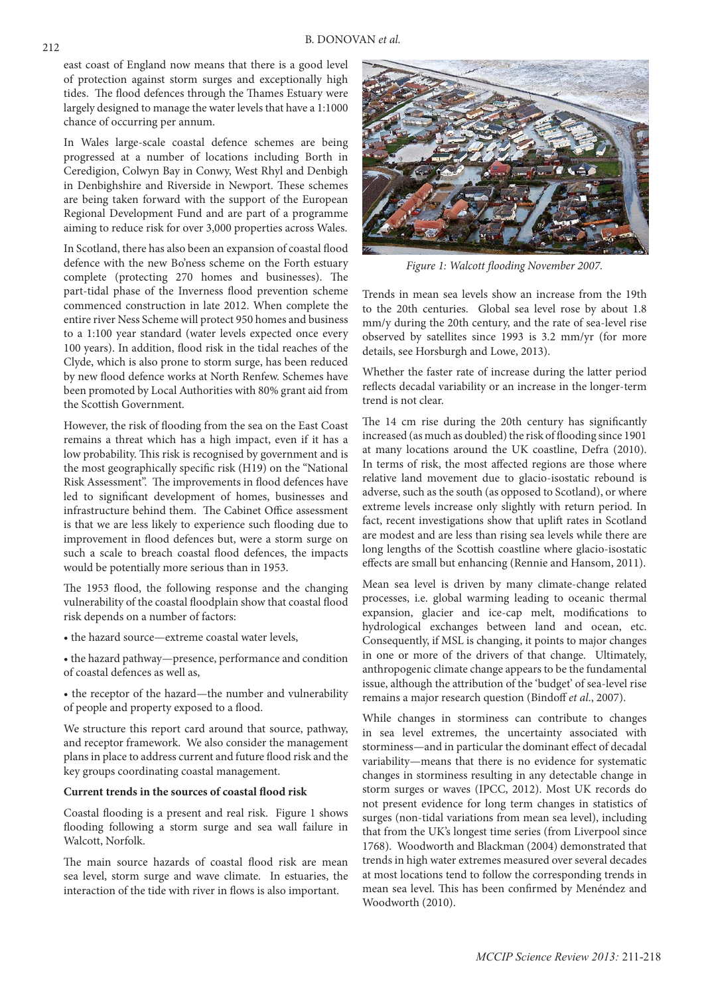east coast of England now means that there is a good level of protection against storm surges and exceptionally high tides. The flood defences through the Thames Estuary were largely designed to manage the water levels that have a 1:1000 chance of occurring per annum.

In Wales large-scale coastal defence schemes are being progressed at a number of locations including Borth in Ceredigion, Colwyn Bay in Conwy, West Rhyl and Denbigh in Denbighshire and Riverside in Newport. These schemes are being taken forward with the support of the European Regional Development Fund and are part of a programme aiming to reduce risk for over 3,000 properties across Wales.

In Scotland, there has also been an expansion of coastal flood defence with the new Bo'ness scheme on the Forth estuary complete (protecting 270 homes and businesses). The part-tidal phase of the Inverness flood prevention scheme commenced construction in late 2012. When complete the entire river Ness Scheme will protect 950 homes and business to a 1:100 year standard (water levels expected once every 100 years). In addition, flood risk in the tidal reaches of the Clyde, which is also prone to storm surge, has been reduced by new flood defence works at North Renfew. Schemes have been promoted by Local Authorities with 80% grant aid from the Scottish Government.

However, the risk of flooding from the sea on the East Coast remains a threat which has a high impact, even if it has a low probability. This risk is recognised by government and is the most geographically specific risk (H19) on the "National Risk Assessment". The improvements in flood defences have led to significant development of homes, businesses and infrastructure behind them. The Cabinet Office assessment is that we are less likely to experience such flooding due to improvement in flood defences but, were a storm surge on such a scale to breach coastal flood defences, the impacts would be potentially more serious than in 1953.

The 1953 flood, the following response and the changing vulnerability of the coastal floodplain show that coastal flood risk depends on a number of factors:

• the hazard source—extreme coastal water levels,

• the hazard pathway—presence, performance and condition of coastal defences as well as,

• the receptor of the hazard—the number and vulnerability of people and property exposed to a flood.

We structure this report card around that source, pathway, and receptor framework. We also consider the management plans in place to address current and future flood risk and the key groups coordinating coastal management.

#### **Current trends in the sources of coastal flood risk**

Coastal flooding is a present and real risk. Figure 1 shows flooding following a storm surge and sea wall failure in Walcott, Norfolk.

The main source hazards of coastal flood risk are mean sea level, storm surge and wave climate. In estuaries, the interaction of the tide with river in flows is also important.



*Figure 1: Walcott flooding November 2007.*

Trends in mean sea levels show an increase from the 19th to the 20th centuries. Global sea level rose by about 1.8 mm/y during the 20th century, and the rate of sea-level rise observed by satellites since 1993 is 3.2 mm/yr (for more details, see Horsburgh and Lowe, 2013).

Whether the faster rate of increase during the latter period reflects decadal variability or an increase in the longer-term trend is not clear.

The 14 cm rise during the 20th century has significantly increased (as much as doubled) the risk of flooding since 1901 at many locations around the UK coastline, Defra (2010). In terms of risk, the most affected regions are those where relative land movement due to glacio-isostatic rebound is adverse, such as the south (as opposed to Scotland), or where extreme levels increase only slightly with return period. In fact, recent investigations show that uplift rates in Scotland are modest and are less than rising sea levels while there are long lengths of the Scottish coastline where glacio-isostatic effects are small but enhancing (Rennie and Hansom, 2011).

Mean sea level is driven by many climate-change related processes, i.e. global warming leading to oceanic thermal expansion, glacier and ice-cap melt, modifications to hydrological exchanges between land and ocean, etc. Consequently, if MSL is changing, it points to major changes in one or more of the drivers of that change. Ultimately, anthropogenic climate change appears to be the fundamental issue, although the attribution of the 'budget' of sea-level rise remains a major research question (Bindoff *et al*., 2007).

While changes in storminess can contribute to changes in sea level extremes, the uncertainty associated with storminess—and in particular the dominant effect of decadal variability—means that there is no evidence for systematic changes in storminess resulting in any detectable change in storm surges or waves (IPCC, 2012). Most UK records do not present evidence for long term changes in statistics of surges (non-tidal variations from mean sea level), including that from the UK's longest time series (from Liverpool since 1768). Woodworth and Blackman (2004) demonstrated that trends in high water extremes measured over several decades at most locations tend to follow the corresponding trends in mean sea level. This has been confirmed by Menéndez and Woodworth (2010).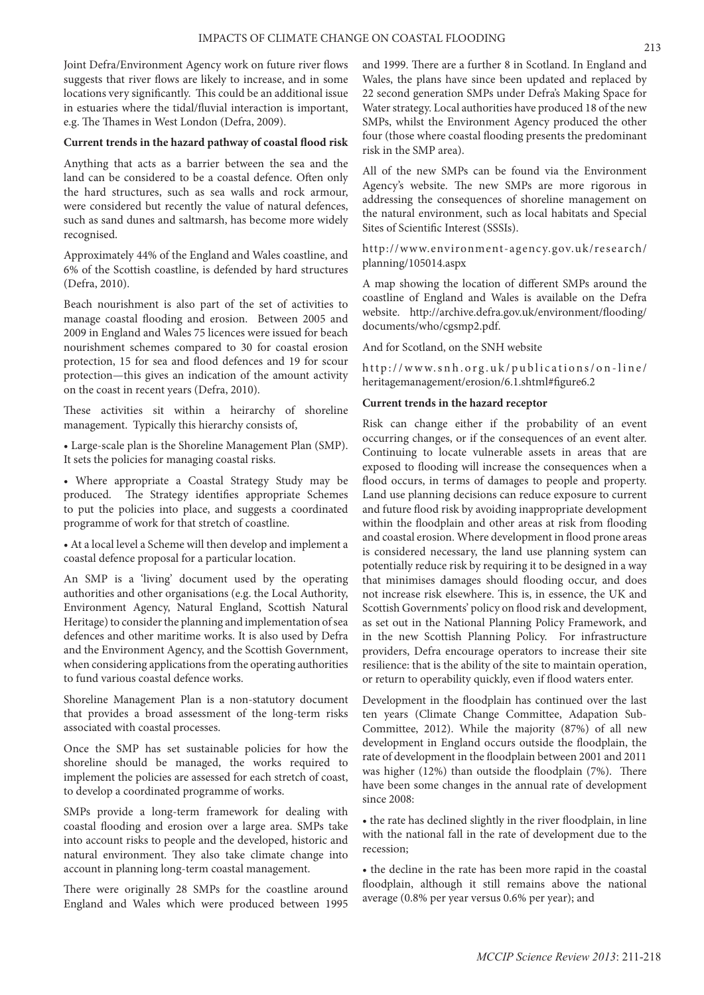Joint Defra/Environment Agency work on future river flows suggests that river flows are likely to increase, and in some locations very significantly. This could be an additional issue in estuaries where the tidal/fluvial interaction is important, e.g. The Thames in West London (Defra, 2009).

#### **Current trends in the hazard pathway of coastal flood risk**

Anything that acts as a barrier between the sea and the land can be considered to be a coastal defence. Often only the hard structures, such as sea walls and rock armour, were considered but recently the value of natural defences, such as sand dunes and saltmarsh, has become more widely recognised.

Approximately 44% of the England and Wales coastline, and 6% of the Scottish coastline, is defended by hard structures (Defra, 2010).

Beach nourishment is also part of the set of activities to manage coastal flooding and erosion. Between 2005 and 2009 in England and Wales 75 licences were issued for beach nourishment schemes compared to 30 for coastal erosion protection, 15 for sea and flood defences and 19 for scour protection—this gives an indication of the amount activity on the coast in recent years (Defra, 2010).

These activities sit within a heirarchy of shoreline management. Typically this hierarchy consists of,

• Large-scale plan is the Shoreline Management Plan (SMP). It sets the policies for managing coastal risks.

• Where appropriate a Coastal Strategy Study may be produced. The Strategy identifies appropriate Schemes to put the policies into place, and suggests a coordinated programme of work for that stretch of coastline.

• At a local level a Scheme will then develop and implement a coastal defence proposal for a particular location.

An SMP is a 'living' document used by the operating authorities and other organisations (e.g. the Local Authority, Environment Agency, Natural England, Scottish Natural Heritage) to consider the planning and implementation of sea defences and other maritime works. It is also used by Defra and the Environment Agency, and the Scottish Government, when considering applications from the operating authorities to fund various coastal defence works.

Shoreline Management Plan is a non-statutory document that provides a broad assessment of the long-term risks associated with coastal processes.

Once the SMP has set sustainable policies for how the shoreline should be managed, the works required to implement the policies are assessed for each stretch of coast, to develop a coordinated programme of works.

SMPs provide a long-term framework for dealing with coastal flooding and erosion over a large area. SMPs take into account risks to people and the developed, historic and natural environment. They also take climate change into account in planning long-term coastal management.

There were originally 28 SMPs for the coastline around England and Wales which were produced between 1995 and 1999. There are a further 8 in Scotland. In England and Wales, the plans have since been updated and replaced by 22 second generation SMPs under Defra's Making Space for Water strategy. Local authorities have produced 18 of the new SMPs, whilst the Environment Agency produced the other four (those where coastal flooding presents the predominant risk in the SMP area).

All of the new SMPs can be found via the Environment Agency's website. The new SMPs are more rigorous in addressing the consequences of shoreline management on the natural environment, such as local habitats and Special Sites of Scientific Interest (SSSIs).

http://www.environment-agency.gov.uk/research/ planning/105014.aspx

A map showing the location of different SMPs around the coastline of England and Wales is available on the Defra website. http://archive.defra.gov.uk/environment/flooding/ documents/who/cgsmp2.pdf.

And for Scotland, on the SNH website

http://www.snh.org.uk/publications/on-line/ heritagemanagement/erosion/6.1.shtml#figure6.2

#### **Current trends in the hazard receptor**

Risk can change either if the probability of an event occurring changes, or if the consequences of an event alter. Continuing to locate vulnerable assets in areas that are exposed to flooding will increase the consequences when a flood occurs, in terms of damages to people and property. Land use planning decisions can reduce exposure to current and future flood risk by avoiding inappropriate development within the floodplain and other areas at risk from flooding and coastal erosion. Where development in flood prone areas is considered necessary, the land use planning system can potentially reduce risk by requiring it to be designed in a way that minimises damages should flooding occur, and does not increase risk elsewhere. This is, in essence, the UK and Scottish Governments' policy on flood risk and development, as set out in the National Planning Policy Framework, and in the new Scottish Planning Policy. For infrastructure providers, Defra encourage operators to increase their site resilience: that is the ability of the site to maintain operation, or return to operability quickly, even if flood waters enter.

Development in the floodplain has continued over the last ten years (Climate Change Committee, Adapation Sub-Committee, 2012). While the majority (87%) of all new development in England occurs outside the floodplain, the rate of development in the floodplain between 2001 and 2011 was higher (12%) than outside the floodplain (7%). There have been some changes in the annual rate of development since 2008:

• the rate has declined slightly in the river floodplain, in line with the national fall in the rate of development due to the recession;

• the decline in the rate has been more rapid in the coastal floodplain, although it still remains above the national average (0.8% per year versus 0.6% per year); and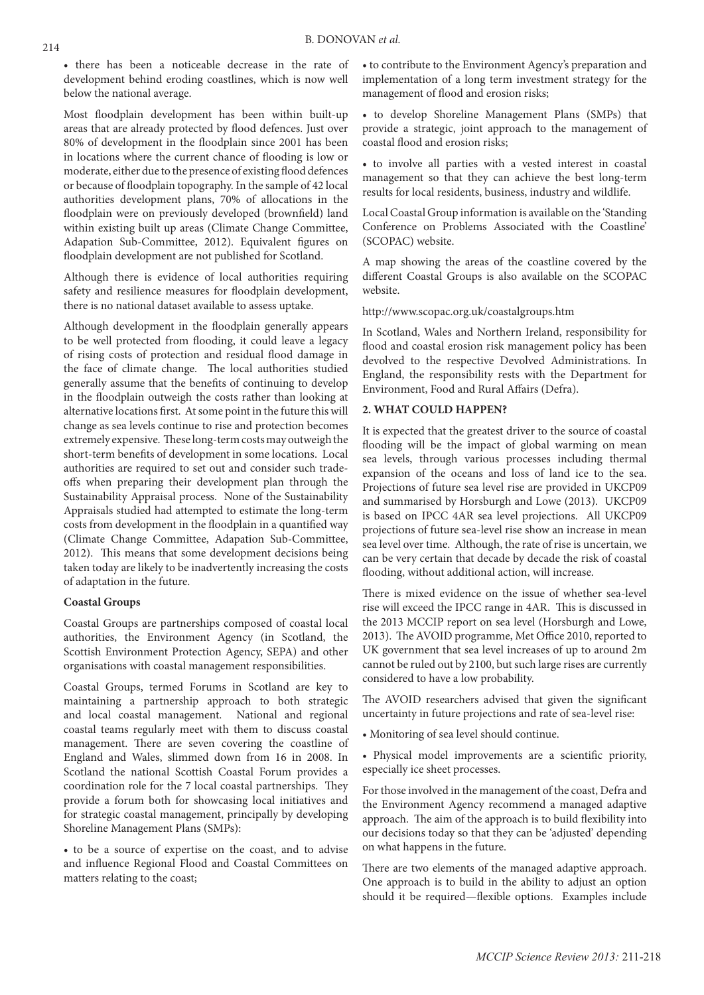• there has been a noticeable decrease in the rate of development behind eroding coastlines, which is now well below the national average.

Most floodplain development has been within built-up areas that are already protected by flood defences. Just over 80% of development in the floodplain since 2001 has been in locations where the current chance of flooding is low or moderate, either due to the presence of existing flood defences or because of floodplain topography. In the sample of 42 local authorities development plans, 70% of allocations in the floodplain were on previously developed (brownfield) land within existing built up areas (Climate Change Committee, Adapation Sub-Committee, 2012). Equivalent figures on floodplain development are not published for Scotland.

Although there is evidence of local authorities requiring safety and resilience measures for floodplain development, there is no national dataset available to assess uptake.

Although development in the floodplain generally appears to be well protected from flooding, it could leave a legacy of rising costs of protection and residual flood damage in the face of climate change. The local authorities studied generally assume that the benefits of continuing to develop in the floodplain outweigh the costs rather than looking at alternative locations first. At some point in the future this will change as sea levels continue to rise and protection becomes extremely expensive. These long-term costs may outweigh the short-term benefits of development in some locations. Local authorities are required to set out and consider such tradeoffs when preparing their development plan through the Sustainability Appraisal process. None of the Sustainability Appraisals studied had attempted to estimate the long-term costs from development in the floodplain in a quantified way (Climate Change Committee, Adapation Sub-Committee, 2012). This means that some development decisions being taken today are likely to be inadvertently increasing the costs of adaptation in the future.

## **Coastal Groups**

Coastal Groups are partnerships composed of coastal local authorities, the Environment Agency (in Scotland, the Scottish Environment Protection Agency, SEPA) and other organisations with coastal management responsibilities.

Coastal Groups, termed Forums in Scotland are key to maintaining a partnership approach to both strategic and local coastal management. National and regional coastal teams regularly meet with them to discuss coastal management. There are seven covering the coastline of England and Wales, slimmed down from 16 in 2008. In Scotland the national Scottish Coastal Forum provides a coordination role for the 7 local coastal partnerships. They provide a forum both for showcasing local initiatives and for strategic coastal management, principally by developing Shoreline Management Plans (SMPs):

• to be a source of expertise on the coast, and to advise and influence Regional Flood and Coastal Committees on matters relating to the coast;

• to contribute to the Environment Agency's preparation and implementation of a long term investment strategy for the management of flood and erosion risks;

• to develop Shoreline Management Plans (SMPs) that provide a strategic, joint approach to the management of coastal flood and erosion risks;

• to involve all parties with a vested interest in coastal management so that they can achieve the best long-term results for local residents, business, industry and wildlife.

Local Coastal Group information is available on the 'Standing Conference on Problems Associated with the Coastline' (SCOPAC) website.

A map showing the areas of the coastline covered by the different Coastal Groups is also available on the SCOPAC website.

http://www.scopac.org.uk/coastalgroups.htm

In Scotland, Wales and Northern Ireland, responsibility for flood and coastal erosion risk management policy has been devolved to the respective Devolved Administrations. In England, the responsibility rests with the Department for Environment, Food and Rural Affairs (Defra).

## **2. WHAT COULD HAPPEN?**

It is expected that the greatest driver to the source of coastal flooding will be the impact of global warming on mean sea levels, through various processes including thermal expansion of the oceans and loss of land ice to the sea. Projections of future sea level rise are provided in UKCP09 and summarised by Horsburgh and Lowe (2013). UKCP09 is based on IPCC 4AR sea level projections. All UKCP09 projections of future sea-level rise show an increase in mean sea level over time. Although, the rate of rise is uncertain, we can be very certain that decade by decade the risk of coastal flooding, without additional action, will increase.

There is mixed evidence on the issue of whether sea-level rise will exceed the IPCC range in 4AR. This is discussed in the 2013 MCCIP report on sea level (Horsburgh and Lowe, 2013). The AVOID programme, Met Office 2010, reported to UK government that sea level increases of up to around 2m cannot be ruled out by 2100, but such large rises are currently considered to have a low probability.

The AVOID researchers advised that given the significant uncertainty in future projections and rate of sea-level rise:

- Monitoring of sea level should continue.
- Physical model improvements are a scientific priority, especially ice sheet processes.

For those involved in the management of the coast, Defra and the Environment Agency recommend a managed adaptive approach. The aim of the approach is to build flexibility into our decisions today so that they can be 'adjusted' depending on what happens in the future.

There are two elements of the managed adaptive approach. One approach is to build in the ability to adjust an option should it be required—flexible options. Examples include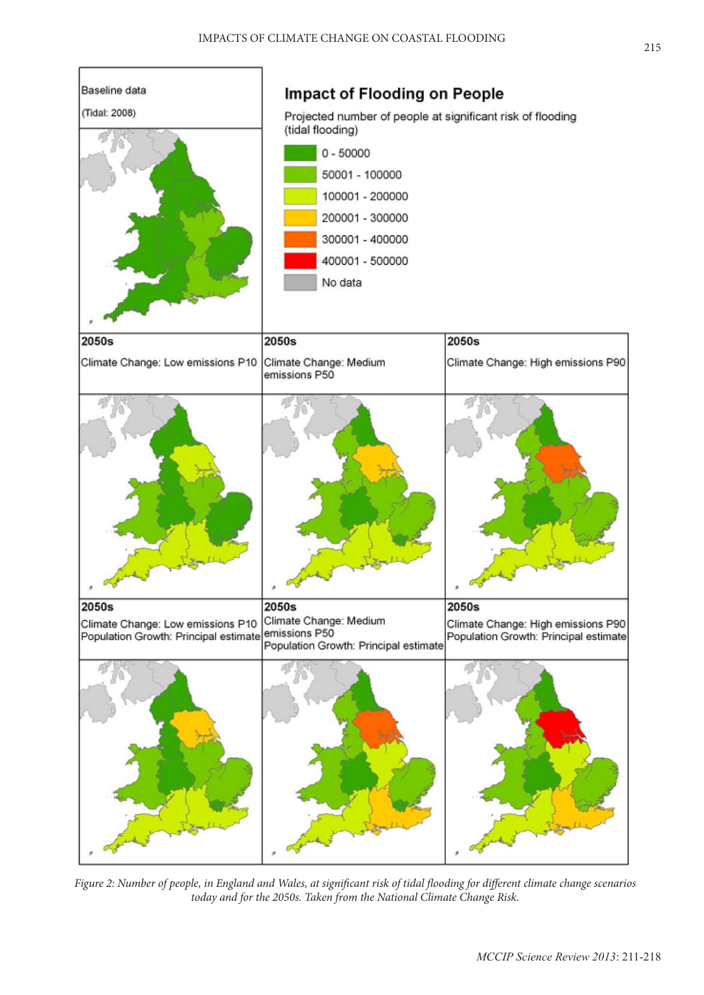

*Figure 2: Number of people, in England and Wales, at significant risk of tidal flooding for different climate change scenarios today and for the 2050s. Taken from the National Climate Change Risk.*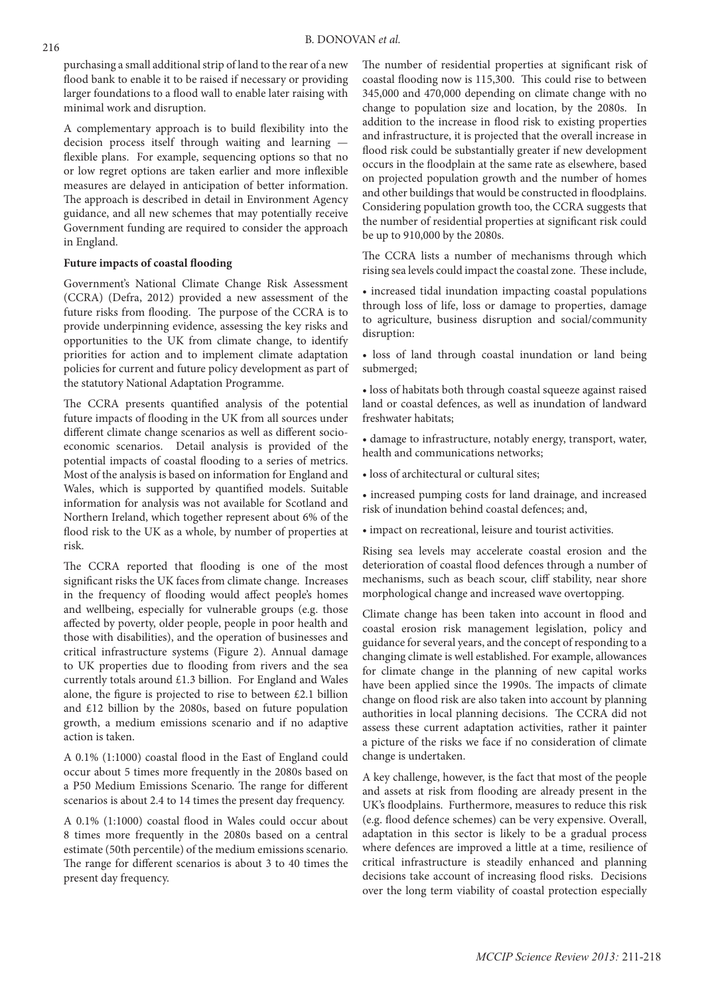purchasing a small additional strip of land to the rear of a new flood bank to enable it to be raised if necessary or providing larger foundations to a flood wall to enable later raising with minimal work and disruption.

A complementary approach is to build flexibility into the decision process itself through waiting and learning flexible plans. For example, sequencing options so that no or low regret options are taken earlier and more inflexible measures are delayed in anticipation of better information. The approach is described in detail in Environment Agency guidance, and all new schemes that may potentially receive Government funding are required to consider the approach in England.

## **Future impacts of coastal flooding**

Government's National Climate Change Risk Assessment (CCRA) (Defra, 2012) provided a new assessment of the future risks from flooding. The purpose of the CCRA is to provide underpinning evidence, assessing the key risks and opportunities to the UK from climate change, to identify priorities for action and to implement climate adaptation policies for current and future policy development as part of the statutory National Adaptation Programme.

The CCRA presents quantified analysis of the potential future impacts of flooding in the UK from all sources under different climate change scenarios as well as different socioeconomic scenarios. Detail analysis is provided of the potential impacts of coastal flooding to a series of metrics. Most of the analysis is based on information for England and Wales, which is supported by quantified models. Suitable information for analysis was not available for Scotland and Northern Ireland, which together represent about 6% of the flood risk to the UK as a whole, by number of properties at risk.

The CCRA reported that flooding is one of the most significant risks the UK faces from climate change. Increases in the frequency of flooding would affect people's homes and wellbeing, especially for vulnerable groups (e.g. those affected by poverty, older people, people in poor health and those with disabilities), and the operation of businesses and critical infrastructure systems (Figure 2). Annual damage to UK properties due to flooding from rivers and the sea currently totals around £1.3 billion. For England and Wales alone, the figure is projected to rise to between £2.1 billion and £12 billion by the 2080s, based on future population growth, a medium emissions scenario and if no adaptive action is taken.

A 0.1% (1:1000) coastal flood in the East of England could occur about 5 times more frequently in the 2080s based on a P50 Medium Emissions Scenario. The range for different scenarios is about 2.4 to 14 times the present day frequency.

A 0.1% (1:1000) coastal flood in Wales could occur about 8 times more frequently in the 2080s based on a central estimate (50th percentile) of the medium emissions scenario. The range for different scenarios is about 3 to 40 times the present day frequency.

The number of residential properties at significant risk of coastal flooding now is 115,300. This could rise to between 345,000 and 470,000 depending on climate change with no change to population size and location, by the 2080s. In addition to the increase in flood risk to existing properties and infrastructure, it is projected that the overall increase in flood risk could be substantially greater if new development occurs in the floodplain at the same rate as elsewhere, based on projected population growth and the number of homes and other buildings that would be constructed in floodplains. Considering population growth too, the CCRA suggests that the number of residential properties at significant risk could be up to 910,000 by the 2080s.

The CCRA lists a number of mechanisms through which rising sea levels could impact the coastal zone. These include,

• increased tidal inundation impacting coastal populations through loss of life, loss or damage to properties, damage to agriculture, business disruption and social/community disruption:

• loss of land through coastal inundation or land being submerged;

• loss of habitats both through coastal squeeze against raised land or coastal defences, as well as inundation of landward freshwater habitats;

• damage to infrastructure, notably energy, transport, water, health and communications networks;

• loss of architectural or cultural sites;

• increased pumping costs for land drainage, and increased risk of inundation behind coastal defences; and,

• impact on recreational, leisure and tourist activities.

Rising sea levels may accelerate coastal erosion and the deterioration of coastal flood defences through a number of mechanisms, such as beach scour, cliff stability, near shore morphological change and increased wave overtopping.

Climate change has been taken into account in flood and coastal erosion risk management legislation, policy and guidance for several years, and the concept of responding to a changing climate is well established. For example, allowances for climate change in the planning of new capital works have been applied since the 1990s. The impacts of climate change on flood risk are also taken into account by planning authorities in local planning decisions. The CCRA did not assess these current adaptation activities, rather it painter a picture of the risks we face if no consideration of climate change is undertaken.

A key challenge, however, is the fact that most of the people and assets at risk from flooding are already present in the UK's floodplains. Furthermore, measures to reduce this risk (e.g. flood defence schemes) can be very expensive. Overall, adaptation in this sector is likely to be a gradual process where defences are improved a little at a time, resilience of critical infrastructure is steadily enhanced and planning decisions take account of increasing flood risks. Decisions over the long term viability of coastal protection especially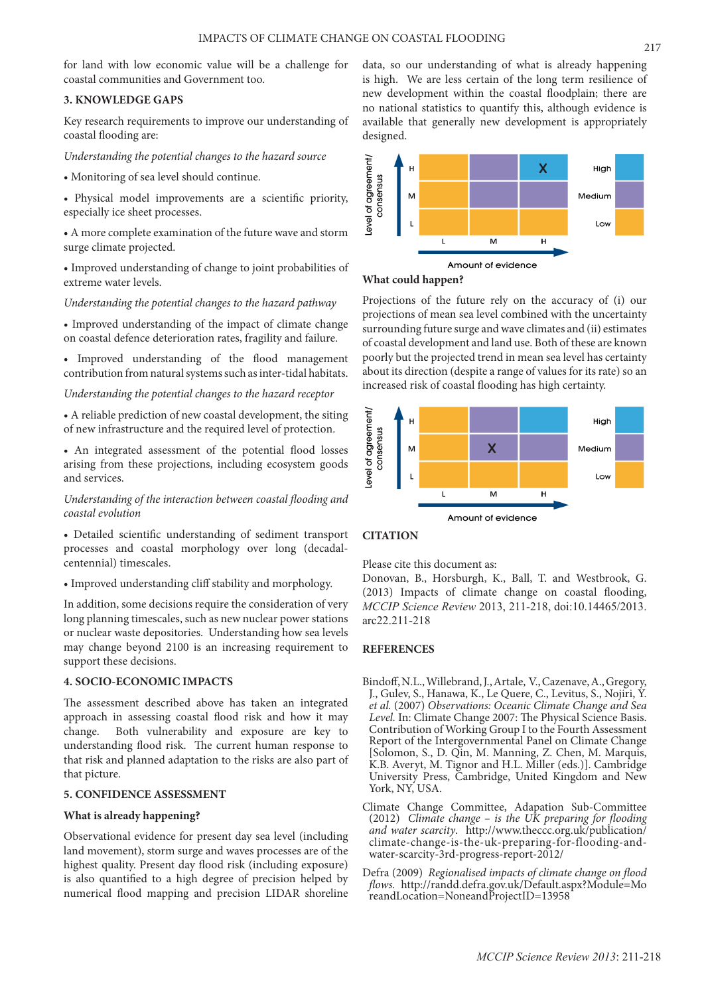for land with low economic value will be a challenge for coastal communities and Government too.

## **3. KNOWLEDGE GAPS**

Key research requirements to improve our understanding of coastal flooding are:

#### *Understanding the potential changes to the hazard source*

• Monitoring of sea level should continue.

• Physical model improvements are a scientific priority, especially ice sheet processes.

• A more complete examination of the future wave and storm surge climate projected.

• Improved understanding of change to joint probabilities of extreme water levels.

*Understanding the potential changes to the hazard pathway*

• Improved understanding of the impact of climate change on coastal defence deterioration rates, fragility and failure.

• Improved understanding of the flood management contribution from natural systems such as inter-tidal habitats.

## *Understanding the potential changes to the hazard receptor*

• A reliable prediction of new coastal development, the siting of new infrastructure and the required level of protection.

• An integrated assessment of the potential flood losses arising from these projections, including ecosystem goods and services.

*Understanding of the interaction between coastal flooding and coastal evolution*

• Detailed scientific understanding of sediment transport processes and coastal morphology over long (decadalcentennial) timescales.

• Improved understanding cliff stability and morphology.

In addition, some decisions require the consideration of very long planning timescales, such as new nuclear power stations or nuclear waste depositories. Understanding how sea levels may change beyond 2100 is an increasing requirement to support these decisions.

## **4. SOCIO-ECONOMIC IMPACTS**

The assessment described above has taken an integrated approach in assessing coastal flood risk and how it may change. Both vulnerability and exposure are key to understanding flood risk. The current human response to that risk and planned adaptation to the risks are also part of that picture.

## **5. CONFIDENCE ASSESSMENT**

## **What is already happening?**

Observational evidence for present day sea level (including land movement), storm surge and waves processes are of the highest quality. Present day flood risk (including exposure) is also quantified to a high degree of precision helped by numerical flood mapping and precision LIDAR shoreline data, so our understanding of what is already happening is high. We are less certain of the long term resilience of new development within the coastal floodplain; there are no national statistics to quantify this, although evidence is available that generally new development is appropriately designed.



## **What could happen?**

Projections of the future rely on the accuracy of (i) our projections of mean sea level combined with the uncertainty surrounding future surge and wave climates and (ii) estimates of coastal development and land use. Both of these are known poorly but the projected trend in mean sea level has certainty about its direction (despite a range of values for its rate) so an increased risk of coastal flooding has high certainty.



## **CITATION**

Please cite this document as:

Donovan, B., Horsburgh, K., Ball, T. and Westbrook, G. (2013) Impacts of climate change on coastal flooding, *MCCIP Science Review* 2013, 211-218, doi:10.14465/2013. arc22.211-218

#### **REFERENCES**

- Bindoff, N.L., Willebrand, J., Artale, V., Cazenave, A., Gregory, J., Gulev, S., Hanawa, K., Le Quere, C., Levitus, S., Nojiri, Y. *et al.* (2007) *Observations: Oceanic Climate Change and Sea Level.* In: Climate Change 2007: The Physical Science Basis. Contribution of Working Group I to the Fourth Assessment Report of the Intergovernmental Panel on Climate Change [Solomon, S., D. Qin, M. Manning, Z. Chen, M. Marquis, K.B. Averyt, M. Tignor and H.L. Miller (eds.)]. Cambridge University Press, Cambridge, United Kingdom and New York, NY, USA.
- Climate Change Committee, Adapation Sub-Committee (2012) *Climate change – is the UK preparing for flooding and water scarcity*. http://www.theccc.org.uk/publication/ climate-change-is-the-uk-preparing-for-flooding-andwater-scarcity-3rd-progress-report-2012/
- Defra (2009) *Regionalised impacts of climate change on flood flows.* http://randd.defra.gov.uk/Default.aspx?Module=Mo reandLocation=NoneandProjectID=13958